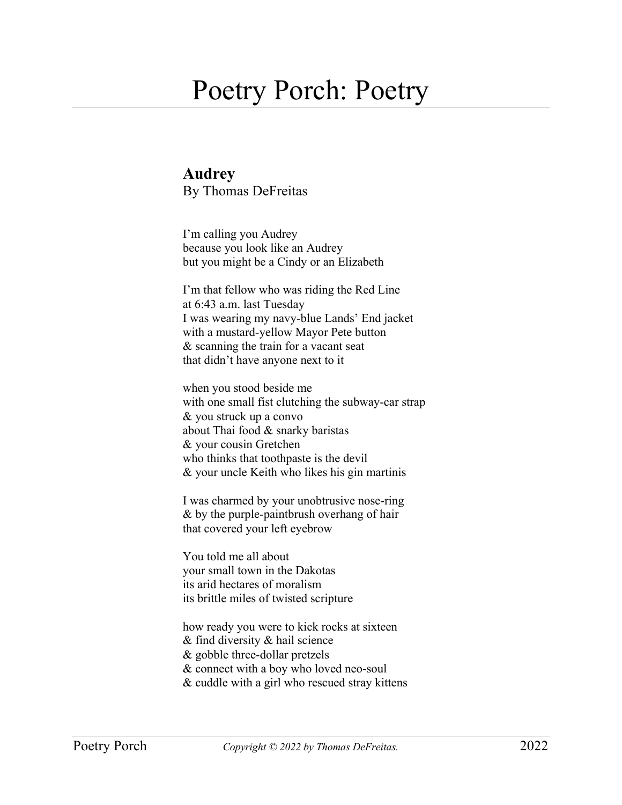## Poetry Porch: Poetry

## **Audrey** By Thomas DeFreitas

I'm calling you Audrey because you look like an Audrey but you might be a Cindy or an Elizabeth

I'm that fellow who was riding the Red Line at 6:43 a.m. last Tuesday I was wearing my navy-blue Lands' End jacket with a mustard-yellow Mayor Pete button & scanning the train for a vacant seat that didn't have anyone next to it

when you stood beside me with one small fist clutching the subway-car strap & you struck up a convo about Thai food & snarky baristas & your cousin Gretchen who thinks that toothpaste is the devil & your uncle Keith who likes his gin martinis

I was charmed by your unobtrusive nose-ring & by the purple-paintbrush overhang of hair that covered your left eyebrow

You told me all about your small town in the Dakotas its arid hectares of moralism its brittle miles of twisted scripture

how ready you were to kick rocks at sixteen & find diversity & hail science & gobble three-dollar pretzels & connect with a boy who loved neo-soul & cuddle with a girl who rescued stray kittens